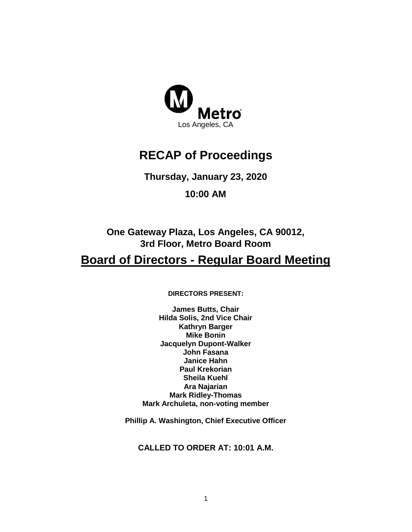

# **RECAP of Proceedings**

**Thursday, January 23, 2020**

**10:00 AM**

**One Gateway Plaza, Los Angeles, CA 90012, 3rd Floor, Metro Board Room**

# **Board of Directors - Regular Board Meeting**

**DIRECTORS PRESENT:**

**James Butts, Chair Hilda Solis, 2nd Vice Chair Kathryn Barger Mike Bonin Jacquelyn Dupont-Walker John Fasana Janice Hahn Paul Krekorian Sheila Kuehl Ara Najarian Mark Ridley-Thomas Mark Archuleta, non-voting member**

**Phillip A. Washington, Chief Executive Officer**

**CALLED TO ORDER AT: 10:01 A.M.**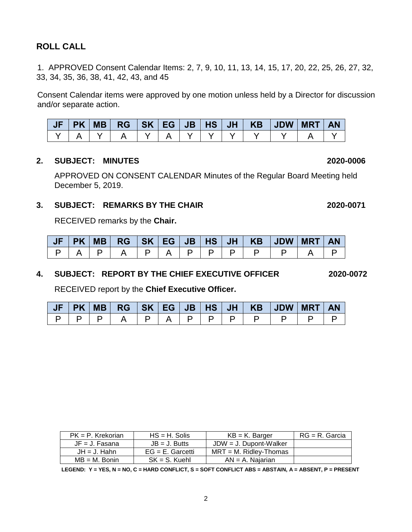### **ROLL CALL**

1. APPROVED Consent Calendar Items: 2, 7, 9, 10, 11, 13, 14, 15, 17, 20, 22, 25, 26, 27, 32, 33, 34, 35, 36, 38, 41, 42, 43, and 45

Consent Calendar items were approved by one motion unless held by a Director for discussion and/or separate action.

|  |  |  |  |  | │JF│PK│MB│RG│SK│EG│JB│HS│JH│ KB│JDW│MRT│AN |  |
|--|--|--|--|--|--------------------------------------------|--|
|  |  |  |  |  |                                            |  |

#### **2. SUBJECT: MINUTES 2020-0006**

APPROVED ON CONSENT CALENDAR Minutes of the Regular Board Meeting held December 5, 2019.

#### **3. SUBJECT: REMARKS BY THE CHAIR 2020-0071**

RECEIVED remarks by the **Chair.**

|  |  |  |  |  | JF   PK   MB   RG   SK   EG   JB   HS   JH   KB   JDW   MRT |  | <b>AN</b> |
|--|--|--|--|--|-------------------------------------------------------------|--|-----------|
|  |  |  |  |  |                                                             |  |           |

#### **4. SUBJECT: REPORT BY THE CHIEF EXECUTIVE OFFICER 2020-0072**

RECEIVED report by the **Chief Executive Officer.** 

|  |  |  |  |  | PK MB  RG   SK   EG   JB   HS   JH   KB   JDW   MRT | <b>AN</b> |
|--|--|--|--|--|-----------------------------------------------------|-----------|
|  |  |  |  |  |                                                     |           |

| $PK = P$ . Krekorian | $HS = H$ . Solis    | $KB = K$ . Barger         | $RG = R$ . Garcia |
|----------------------|---------------------|---------------------------|-------------------|
| $JF = J. Fasana$     | $JB = J.$ Butts     | $JDW = J$ . Dupont-Walker |                   |
| $JH = J$ . Hahn      | $EG = E$ . Garcetti | $MRT = M$ . Ridley-Thomas |                   |
| $MB = M$ . Bonin     | $SK = S$ . Kuehl    | $AN = A$ . Najarian       |                   |

**LEGEND: Y = YES, N = NO, C = HARD CONFLICT, S = SOFT CONFLICT ABS = ABSTAIN, A = ABSENT, P = PRESENT**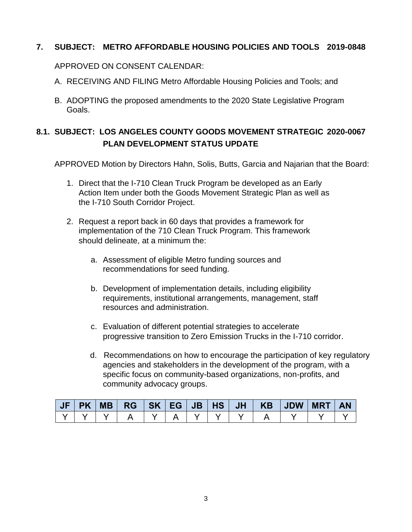#### **7. SUBJECT: METRO AFFORDABLE HOUSING POLICIES AND TOOLS 2019-0848**

APPROVED ON CONSENT CALENDAR:

- A. RECEIVING AND FILING Metro Affordable Housing Policies and Tools; and
- B. ADOPTING the proposed amendments to the 2020 State Legislative Program Goals.

# **8.1. SUBJECT: LOS ANGELES COUNTY GOODS MOVEMENT STRATEGIC 2020-0067 PLAN DEVELOPMENT STATUS UPDATE**

APPROVED Motion by Directors Hahn, Solis, Butts, Garcia and Najarian that the Board:

- 1. Direct that the I-710 Clean Truck Program be developed as an Early Action Item under both the Goods Movement Strategic Plan as well as the I-710 South Corridor Project.
- 2. Request a report back in 60 days that provides a framework for implementation of the 710 Clean Truck Program. This framework should delineate, at a minimum the:
	- a. Assessment of eligible Metro funding sources and recommendations for seed funding.
	- b. Development of implementation details, including eligibility requirements, institutional arrangements, management, staff resources and administration.
	- c. Evaluation of different potential strategies to accelerate progressive transition to Zero Emission Trucks in the I-710 corridor.
	- d. Recommendations on how to encourage the participation of key regulatory agencies and stakeholders in the development of the program, with a specific focus on community-based organizations, non-profits, and community advocacy groups.

| <b>JF</b> | <b>IPK</b> |  |  |  |  | <b>MRT</b> |  |
|-----------|------------|--|--|--|--|------------|--|
|           |            |  |  |  |  |            |  |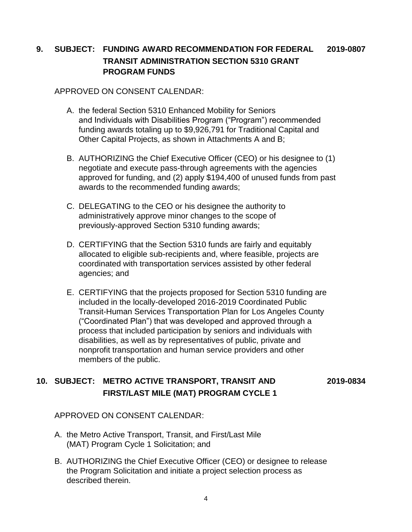# **9. SUBJECT: FUNDING AWARD RECOMMENDATION FOR FEDERAL 2019-0807 TRANSIT ADMINISTRATION SECTION 5310 GRANT PROGRAM FUNDS**

#### APPROVED ON CONSENT CALENDAR:

- A. the federal Section 5310 Enhanced Mobility for Seniors and Individuals with Disabilities Program ("Program") recommended funding awards totaling up to \$9,926,791 for Traditional Capital and Other Capital Projects, as shown in Attachments A and B;
- B. AUTHORIZING the Chief Executive Officer (CEO) or his designee to (1) negotiate and execute pass-through agreements with the agencies approved for funding, and (2) apply \$194,400 of unused funds from past awards to the recommended funding awards;
- C. DELEGATING to the CEO or his designee the authority to administratively approve minor changes to the scope of previously-approved Section 5310 funding awards;
- D. CERTIFYING that the Section 5310 funds are fairly and equitably allocated to eligible sub-recipients and, where feasible, projects are coordinated with transportation services assisted by other federal agencies; and
- E. CERTIFYING that the projects proposed for Section 5310 funding are included in the locally-developed 2016-2019 Coordinated Public Transit-Human Services Transportation Plan for Los Angeles County ("Coordinated Plan") that was developed and approved through a process that included participation by seniors and individuals with disabilities, as well as by representatives of public, private and nonprofit transportation and human service providers and other members of the public.

# **10. SUBJECT: METRO ACTIVE TRANSPORT, TRANSIT AND 2019-0834 FIRST/LAST MILE (MAT) PROGRAM CYCLE 1**

APPROVED ON CONSENT CALENDAR:

- A. the Metro Active Transport, Transit, and First/Last Mile (MAT) Program Cycle 1 Solicitation; and
- B. AUTHORIZING the Chief Executive Officer (CEO) or designee to release the Program Solicitation and initiate a project selection process as described therein.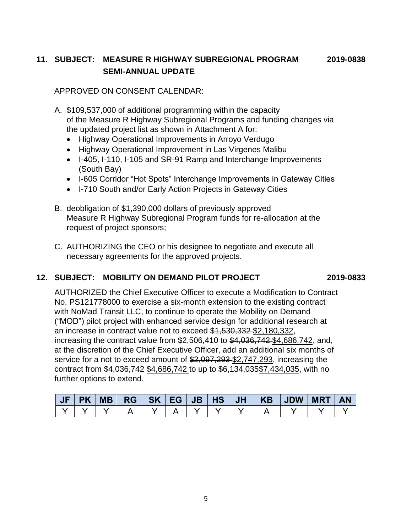# **11. SUBJECT: MEASURE R HIGHWAY SUBREGIONAL PROGRAM 2019-0838 SEMI-ANNUAL UPDATE**

APPROVED ON CONSENT CALENDAR:

- A. \$109,537,000 of additional programming within the capacity of the Measure R Highway Subregional Programs and funding changes via the updated project list as shown in Attachment A for:
	- Highway Operational Improvements in Arroyo Verdugo
	- Highway Operational Improvement in Las Virgenes Malibu
	- I-405, I-110, I-105 and SR-91 Ramp and Interchange Improvements (South Bay)
	- I-605 Corridor "Hot Spots" Interchange Improvements in Gateway Cities
	- I-710 South and/or Early Action Projects in Gateway Cities
- B. deobligation of \$1,390,000 dollars of previously approved Measure R Highway Subregional Program funds for re-allocation at the request of project sponsors;
- C. AUTHORIZING the CEO or his designee to negotiate and execute all necessary agreements for the approved projects.

### **12. SUBJECT: MOBILITY ON DEMAND PILOT PROJECT 2019-0833**

AUTHORIZED the Chief Executive Officer to execute a Modification to Contract No. PS121778000 to exercise a six-month extension to the existing contract with NoMad Transit LLC, to continue to operate the Mobility on Demand ("MOD") pilot project with enhanced service design for additional research at an increase in contract value not to exceed \$4,530,332-\$2,180,332, increasing the contract value from  $$2,506,410$  to  $$4,036,742$  \$4,686,742, and, at the discretion of the Chief Executive Officer, add an additional six months of service for a not to exceed amount of \$2,097,293 \$2,747,293, increasing the contract from \$4,036,742 \$4,686,742 to up to \$6,134,035\$7,434,035, with no further options to extend.

|  |  |  |  |  | JF PK MB  RG  SK EG JB HS JH   KB  JDW MRT AN |  |
|--|--|--|--|--|-----------------------------------------------|--|
|  |  |  |  |  |                                               |  |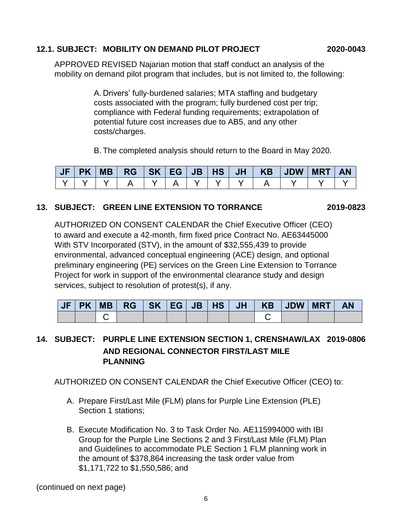### **12.1. SUBJECT: MOBILITY ON DEMAND PILOT PROJECT 2020-0043**

APPROVED REVISED Najarian motion that staff conduct an analysis of the mobility on demand pilot program that includes, but is not limited to, the following:

> A. Drivers' fully-burdened salaries; MTA staffing and budgetary costs associated with the program; fully burdened cost per trip; compliance with Federal funding requirements; extrapolation of potential future cost increases due to AB5, and any other costs/charges.

B. The completed analysis should return to the Board in May 2020.

### **13. SUBJECT: GREEN LINE EXTENSION TO TORRANCE 2019-0823**

AUTHORIZED ON CONSENT CALENDAR the Chief Executive Officer (CEO) to award and execute a 42-month, firm fixed price Contract No. AE63445000 With STV Incorporated (STV), in the amount of \$32,555,439 to provide environmental, advanced conceptual engineering (ACE) design, and optional preliminary engineering (PE) services on the Green Line Extension to Torrance Project for work in support of the environmental clearance study and design services, subject to resolution of protest(s), if any.

| JF | PK | <b>MB</b> | RG SK EG |  | <b>JB</b> | HS | <b>JH</b> | <b>KB</b> | <b>JDW</b> | <b>MRT</b> |  |
|----|----|-----------|----------|--|-----------|----|-----------|-----------|------------|------------|--|
|    |    |           |          |  |           |    |           |           |            |            |  |

# **14. SUBJECT: PURPLE LINE EXTENSION SECTION 1, CRENSHAW/LAX 2019-0806 AND REGIONAL CONNECTOR FIRST/LAST MILE PLANNING**

AUTHORIZED ON CONSENT CALENDAR the Chief Executive Officer (CEO) to:

- A. Prepare First/Last Mile (FLM) plans for Purple Line Extension (PLE) Section 1 stations;
- B. Execute Modification No. 3 to Task Order No. AE115994000 with IBI Group for the Purple Line Sections 2 and 3 First/Last Mile (FLM) Plan and Guidelines to accommodate PLE Section 1 FLM planning work in the amount of \$378,864 increasing the task order value from \$1,171,722 to \$1,550,586; and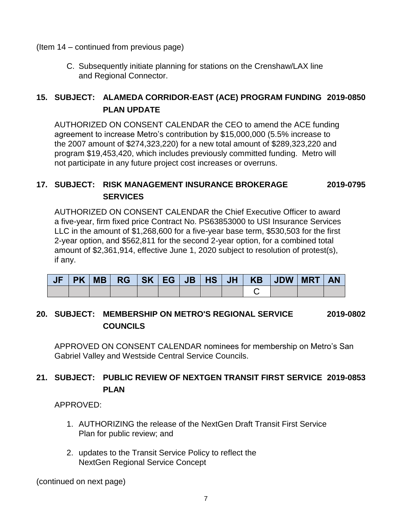(Item 14 – continued from previous page)

C. Subsequently initiate planning for stations on the Crenshaw/LAX line and Regional Connector.

# **15. SUBJECT: ALAMEDA CORRIDOR-EAST (ACE) PROGRAM FUNDING 2019-0850 PLAN UPDATE**

AUTHORIZED ON CONSENT CALENDAR the CEO to amend the ACE funding agreement to increase Metro's contribution by \$15,000,000 (5.5% increase to the 2007 amount of \$274,323,220) for a new total amount of \$289,323,220 and program \$19,453,420, which includes previously committed funding. Metro will not participate in any future project cost increases or overruns.

# **17. SUBJECT: RISK MANAGEMENT INSURANCE BROKERAGE 2019-0795 SERVICES**

AUTHORIZED ON CONSENT CALENDAR the Chief Executive Officer to award a five-year, firm fixed price Contract No. PS63853000 to USI Insurance Services LLC in the amount of \$1,268,600 for a five-year base term, \$530,503 for the first 2-year option, and \$562,811 for the second 2-year option, for a combined total amount of \$2,361,914, effective June 1, 2020 subject to resolution of protest(s), if any.

|  |  |  |  |  | JF   PK   MB   RG   SK   EG   JB   HS   JH   KB   JDW   MRT | <b>AN</b> |
|--|--|--|--|--|-------------------------------------------------------------|-----------|
|  |  |  |  |  |                                                             |           |

# **20. SUBJECT: MEMBERSHIP ON METRO'S REGIONAL SERVICE 2019-0802 COUNCILS**

APPROVED ON CONSENT CALENDAR nominees for membership on Metro's San Gabriel Valley and Westside Central Service Councils.

# **21. SUBJECT: PUBLIC REVIEW OF NEXTGEN TRANSIT FIRST SERVICE 2019-0853 PLAN**

APPROVED:

- 1. AUTHORIZING the release of the NextGen Draft Transit First Service Plan for public review; and
- 2. updates to the Transit Service Policy to reflect the NextGen Regional Service Concept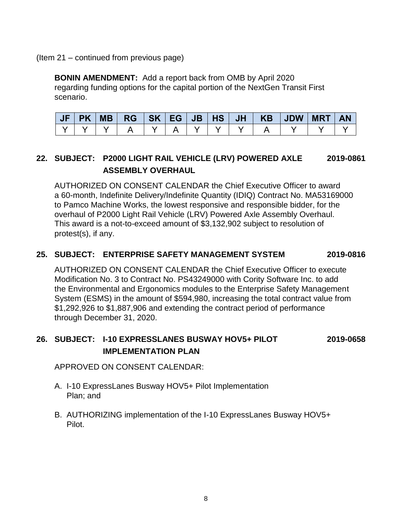#### (Item 21 – continued from previous page)

**BONIN AMENDMENT:** Add a report back from OMB by April 2020 regarding funding options for the capital portion of the NextGen Transit First scenario.

|  |  |  |  |  | JF PK MB  RG  SK EG JB HS JH   KB  JDW MRT | <b>AN</b> |
|--|--|--|--|--|--------------------------------------------|-----------|
|  |  |  |  |  |                                            |           |

# **22. SUBJECT: P2000 LIGHT RAIL VEHICLE (LRV) POWERED AXLE 2019-0861 ASSEMBLY OVERHAUL**

AUTHORIZED ON CONSENT CALENDAR the Chief Executive Officer to award a 60-month, Indefinite Delivery/Indefinite Quantity (IDIQ) Contract No. MA53169000 to Pamco Machine Works, the lowest responsive and responsible bidder, for the overhaul of P2000 Light Rail Vehicle (LRV) Powered Axle Assembly Overhaul. This award is a not-to-exceed amount of \$3,132,902 subject to resolution of protest(s), if any.

#### **25. SUBJECT: ENTERPRISE SAFETY MANAGEMENT SYSTEM 2019-0816**

AUTHORIZED ON CONSENT CALENDAR the Chief Executive Officer to execute Modification No. 3 to Contract No. PS43249000 with Cority Software Inc. to add the Environmental and Ergonomics modules to the Enterprise Safety Management System (ESMS) in the amount of \$594,980, increasing the total contract value from \$1,292,926 to \$1,887,906 and extending the contract period of performance through December 31, 2020.

# **26. SUBJECT: I-10 EXPRESSLANES BUSWAY HOV5+ PILOT 2019-0658 IMPLEMENTATION PLAN**

APPROVED ON CONSENT CALENDAR:

- A. I-10 ExpressLanes Busway HOV5+ Pilot Implementation Plan; and
- B. AUTHORIZING implementation of the I-10 ExpressLanes Busway HOV5+ Pilot.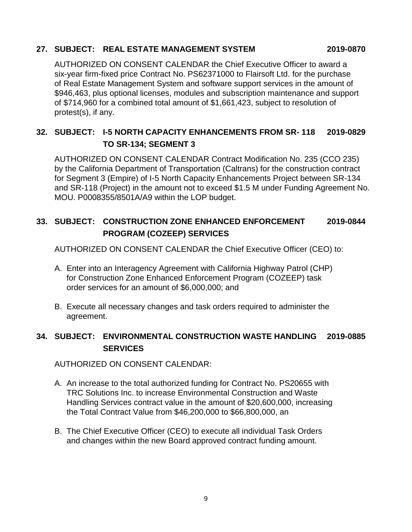#### **27. SUBJECT: REAL ESTATE MANAGEMENT SYSTEM 2019-0870**

AUTHORIZED ON CONSENT CALENDAR the Chief Executive Officer to award a six-year firm-fixed price Contract No. PS62371000 to Flairsoft Ltd. for the purchase of Real Estate Management System and software support services in the amount of \$946,463, plus optional licenses, modules and subscription maintenance and support of \$714,960 for a combined total amount of \$1,661,423, subject to resolution of protest(s), if any.

# **32. SUBJECT: I-5 NORTH CAPACITY ENHANCEMENTS FROM SR- 118 2019-0829 TO SR-134; SEGMENT 3**

AUTHORIZED ON CONSENT CALENDAR Contract Modification No. 235 (CCO 235) by the California Department of Transportation (Caltrans) for the construction contract for Segment 3 (Empire) of I-5 North Capacity Enhancements Project between SR-134 and SR-118 (Project) in the amount not to exceed \$1.5 M under Funding Agreement No. MOU. P0008355/8501A/A9 within the LOP budget.

# **33. SUBJECT: CONSTRUCTION ZONE ENHANCED ENFORCEMENT 2019-0844 PROGRAM (COZEEP) SERVICES**

AUTHORIZED ON CONSENT CALENDAR the Chief Executive Officer (CEO) to:

- A. Enter into an Interagency Agreement with California Highway Patrol (CHP) for Construction Zone Enhanced Enforcement Program (COZEEP) task order services for an amount of \$6,000,000; and
- B. Execute all necessary changes and task orders required to administer the agreement.

# **34. SUBJECT: ENVIRONMENTAL CONSTRUCTION WASTE HANDLING 2019-0885 SERVICES**

AUTHORIZED ON CONSENT CALENDAR:

- A. An increase to the total authorized funding for Contract No. PS20655 with TRC Solutions Inc. to increase Environmental Construction and Waste Handling Services contract value in the amount of \$20,600,000, increasing the Total Contract Value from \$46,200,000 to \$66,800,000, an
- B. The Chief Executive Officer (CEO) to execute all individual Task Orders and changes within the new Board approved contract funding amount.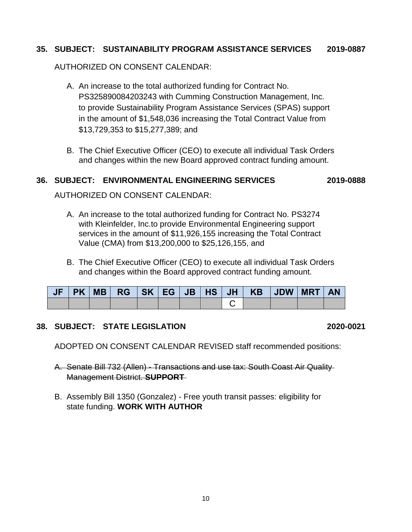#### **35. SUBJECT: SUSTAINABILITY PROGRAM ASSISTANCE SERVICES 2019-0887**

AUTHORIZED ON CONSENT CALENDAR:

- A. An increase to the total authorized funding for Contract No. PS325890084203243 with Cumming Construction Management, Inc. to provide Sustainability Program Assistance Services (SPAS) support in the amount of \$1,548,036 increasing the Total Contract Value from \$13,729,353 to \$15,277,389; and
- B. The Chief Executive Officer (CEO) to execute all individual Task Orders and changes within the new Board approved contract funding amount.

#### **36. SUBJECT: ENVIRONMENTAL ENGINEERING SERVICES 2019-0888**

AUTHORIZED ON CONSENT CALENDAR:

- A. An increase to the total authorized funding for Contract No. PS3274 with Kleinfelder, Inc.to provide Environmental Engineering support services in the amount of \$11,926,155 increasing the Total Contract Value (CMA) from \$13,200,000 to \$25,126,155, and
- B. The Chief Executive Officer (CEO) to execute all individual Task Orders and changes within the Board approved contract funding amount.

| <b>JF</b> |  |  |  |  | PK   MB   RG   SK   EG   JB   HS   JH   KB   JDW   MRT   AN |  |  |
|-----------|--|--|--|--|-------------------------------------------------------------|--|--|
|           |  |  |  |  |                                                             |  |  |

#### **38. SUBJECT: STATE LEGISLATION 2020-0021**

ADOPTED ON CONSENT CALENDAR REVISED staff recommended positions:

- A. Senate Bill 732 (Allen) Transactions and use tax: South Coast Air Quality Management District. **SUPPORT**
- B. Assembly Bill 1350 (Gonzalez) Free youth transit passes: eligibility for state funding. **WORK WITH AUTHOR**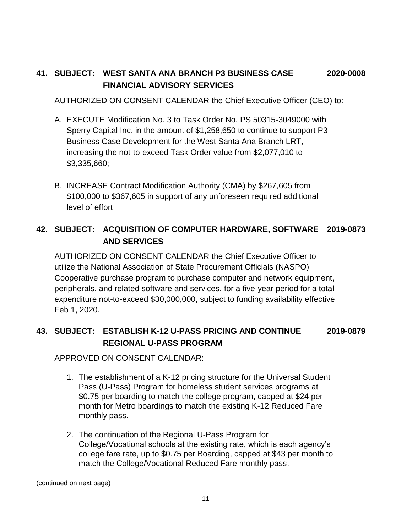# **41. SUBJECT: WEST SANTA ANA BRANCH P3 BUSINESS CASE 2020-0008 FINANCIAL ADVISORY SERVICES**

AUTHORIZED ON CONSENT CALENDAR the Chief Executive Officer (CEO) to:

- A. EXECUTE Modification No. 3 to Task Order No. PS 50315-3049000 with Sperry Capital Inc. in the amount of \$1,258,650 to continue to support P3 Business Case Development for the West Santa Ana Branch LRT, increasing the not-to-exceed Task Order value from \$2,077,010 to \$3,335,660;
- B. INCREASE Contract Modification Authority (CMA) by \$267,605 from \$100,000 to \$367,605 in support of any unforeseen required additional level of effort

# **42. SUBJECT: ACQUISITION OF COMPUTER HARDWARE, SOFTWARE 2019-0873 AND SERVICES**

AUTHORIZED ON CONSENT CALENDAR the Chief Executive Officer to utilize the National Association of State Procurement Officials (NASPO) Cooperative purchase program to purchase computer and network equipment, peripherals, and related software and services, for a five-year period for a total expenditure not-to-exceed \$30,000,000, subject to funding availability effective Feb 1, 2020.

# **43. SUBJECT: ESTABLISH K-12 U-PASS PRICING AND CONTINUE 2019-0879 REGIONAL U-PASS PROGRAM**

APPROVED ON CONSENT CALENDAR:

- 1. The establishment of a K-12 pricing structure for the Universal Student Pass (U-Pass) Program for homeless student services programs at \$0.75 per boarding to match the college program, capped at \$24 per month for Metro boardings to match the existing K-12 Reduced Fare monthly pass.
- 2. The continuation of the Regional U-Pass Program for College/Vocational schools at the existing rate, which is each agency's college fare rate, up to \$0.75 per Boarding, capped at \$43 per month to match the College/Vocational Reduced Fare monthly pass.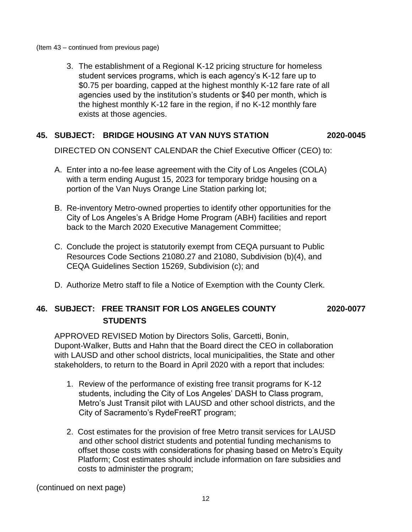(Item 43 – continued from previous page)

3. The establishment of a Regional K-12 pricing structure for homeless student services programs, which is each agency's K-12 fare up to \$0.75 per boarding, capped at the highest monthly K-12 fare rate of all agencies used by the institution's students or \$40 per month, which is the highest monthly K-12 fare in the region, if no K-12 monthly fare exists at those agencies.

#### **45. SUBJECT: BRIDGE HOUSING AT VAN NUYS STATION 2020-0045**

DIRECTED ON CONSENT CALENDAR the Chief Executive Officer (CEO) to:

- A. Enter into a no-fee lease agreement with the City of Los Angeles (COLA) with a term ending August 15, 2023 for temporary bridge housing on a portion of the Van Nuys Orange Line Station parking lot;
- B. Re-inventory Metro-owned properties to identify other opportunities for the City of Los Angeles's A Bridge Home Program (ABH) facilities and report back to the March 2020 Executive Management Committee;
- C. Conclude the project is statutorily exempt from CEQA pursuant to Public Resources Code Sections 21080.27 and 21080, Subdivision (b)(4), and CEQA Guidelines Section 15269, Subdivision (c); and
- D. Authorize Metro staff to file a Notice of Exemption with the County Clerk.

### **46. SUBJECT: FREE TRANSIT FOR LOS ANGELES COUNTY 2020-0077 STUDENTS**

APPROVED REVISED Motion by Directors Solis, Garcetti, Bonin, Dupont-Walker, Butts and Hahn that the Board direct the CEO in collaboration with LAUSD and other school districts, local municipalities, the State and other stakeholders, to return to the Board in April 2020 with a report that includes:

- 1. Review of the performance of existing free transit programs for K-12 students, including the City of Los Angeles' DASH to Class program, Metro's Just Transit pilot with LAUSD and other school districts, and the City of Sacramento's RydeFreeRT program;
- 2. Cost estimates for the provision of free Metro transit services for LAUSD and other school district students and potential funding mechanisms to offset those costs with considerations for phasing based on Metro's Equity Platform; Cost estimates should include information on fare subsidies and costs to administer the program;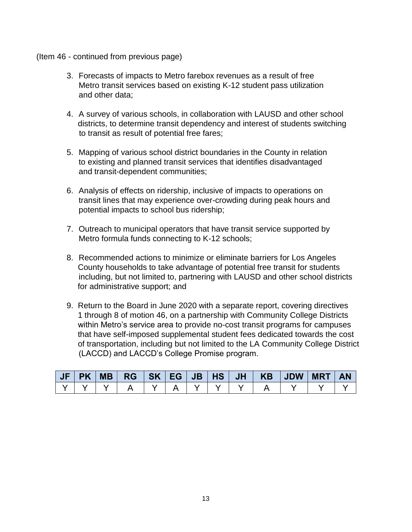#### (Item 46 - continued from previous page)

- 3. Forecasts of impacts to Metro farebox revenues as a result of free Metro transit services based on existing K-12 student pass utilization and other data;
- 4. A survey of various schools, in collaboration with LAUSD and other school districts, to determine transit dependency and interest of students switching to transit as result of potential free fares;
- 5. Mapping of various school district boundaries in the County in relation to existing and planned transit services that identifies disadvantaged and transit-dependent communities;
- 6. Analysis of effects on ridership, inclusive of impacts to operations on transit lines that may experience over-crowding during peak hours and potential impacts to school bus ridership;
- 7. Outreach to municipal operators that have transit service supported by Metro formula funds connecting to K-12 schools;
- 8. Recommended actions to minimize or eliminate barriers for Los Angeles County households to take advantage of potential free transit for students including, but not limited to, partnering with LAUSD and other school districts for administrative support; and
- 9. Return to the Board in June 2020 with a separate report, covering directives 1 through 8 of motion 46, on a partnership with Community College Districts within Metro's service area to provide no-cost transit programs for campuses that have self-imposed supplemental student fees dedicated towards the cost of transportation, including but not limited to the LA Community College District (LACCD) and LACCD's College Promise program.

| <b>JF</b> | <b>PK</b> | <b>MB</b> |  |  |  | $RG$ $SK$ $EG$ $JB$ $HS$ $JH$ $KK$ | $ $ JDW $ $ | <b>MRT</b> | <b>AN</b> |
|-----------|-----------|-----------|--|--|--|------------------------------------|-------------|------------|-----------|
|           |           |           |  |  |  |                                    |             |            |           |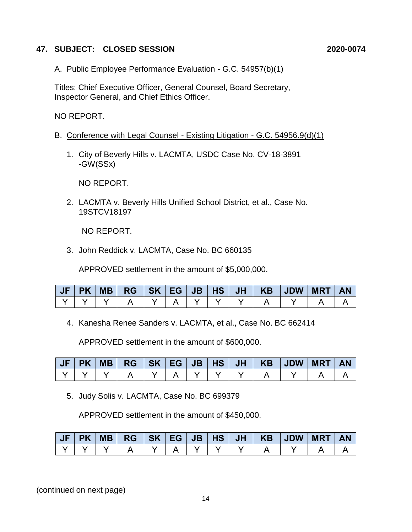#### **47. SUBJECT: CLOSED SESSION 2020-0074**

A. Public Employee Performance Evaluation - G.C. 54957(b)(1)

Titles: Chief Executive Officer, General Counsel, Board Secretary, Inspector General, and Chief Ethics Officer.

NO REPORT.

- B. Conference with Legal Counsel Existing Litigation G.C. 54956.9(d)(1)
	- 1. City of Beverly Hills v. LACMTA, USDC Case No. CV-18-3891 -GW(SSx)

NO REPORT.

2. LACMTA v. Beverly Hills Unified School District, et al., Case No. 19STCV18197

NO REPORT.

3. John Reddick v. LACMTA, Case No. BC 660135

APPROVED settlement in the amount of \$5,000,000.

4. Kanesha Renee Sanders v. LACMTA, et al., Case No. BC 662414

APPROVED settlement in the amount of \$600,000.

5. Judy Solis v. LACMTA, Case No. BC 699379

APPROVED settlement in the amount of \$450,000.

| JF | <b>PK</b> | MB | $RG$   SK   EG |  | JB   HS |  | JH   KB   JDW | <b>MRT</b> | <b>AN</b> |
|----|-----------|----|----------------|--|---------|--|---------------|------------|-----------|
|    |           |    |                |  |         |  |               |            |           |